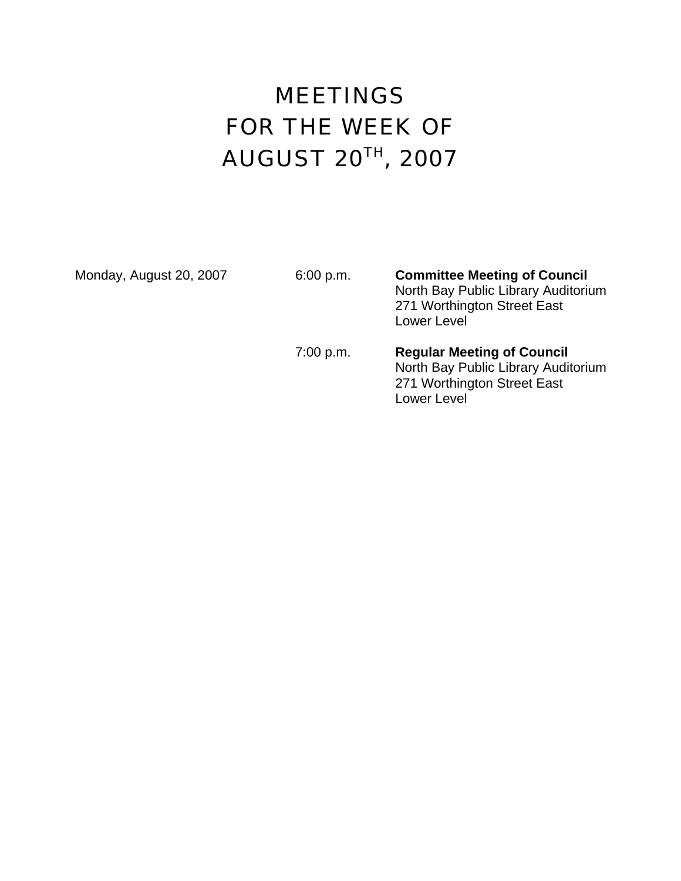# MEETINGS FOR THE WEEK OF AUGUST 20TH, 2007

Monday, August 20, 2007 6:00 p.m. **Committee Meeting of Council** North Bay Public Library Auditorium 271 Worthington Street East Lower Level

#### 7:00 p.m. **Regular Meeting of Council** North Bay Public Library Auditorium 271 Worthington Street East Lower Level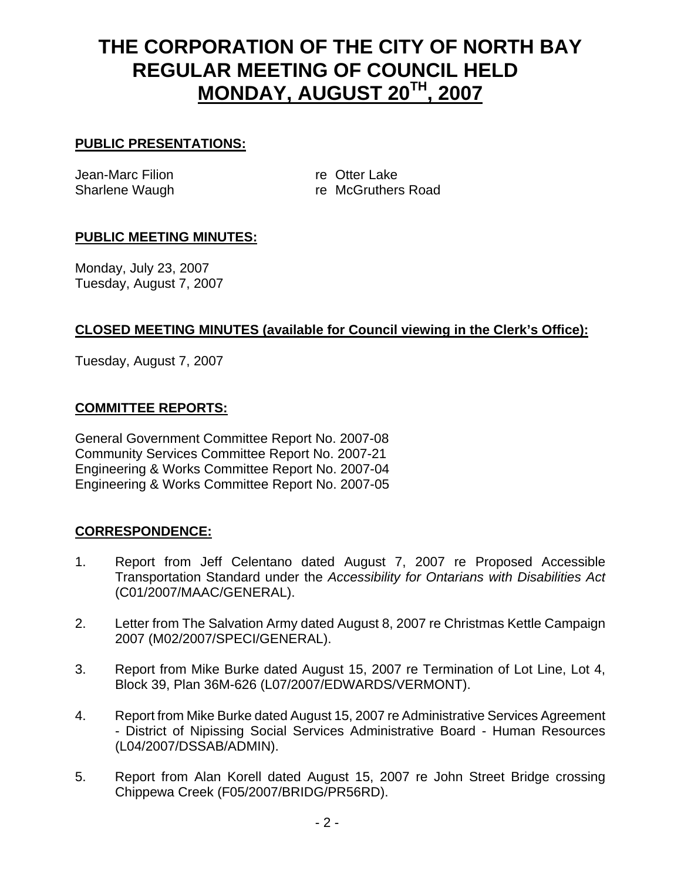# **THE CORPORATION OF THE CITY OF NORTH BAY REGULAR MEETING OF COUNCIL HELD MONDAY, AUGUST 20TH, 2007**

#### **PUBLIC PRESENTATIONS:**

Jean-Marc Filion **re** Otter Lake

Sharlene Waugh **re McGruthers Road** 

# **PUBLIC MEETING MINUTES:**

Monday, July 23, 2007 Tuesday, August 7, 2007

# **CLOSED MEETING MINUTES (available for Council viewing in the Clerk's Office):**

Tuesday, August 7, 2007

#### **COMMITTEE REPORTS:**

General Government Committee Report No. 2007-08 Community Services Committee Report No. 2007-21 Engineering & Works Committee Report No. 2007-04 Engineering & Works Committee Report No. 2007-05

# **CORRESPONDENCE:**

- 1. Report from Jeff Celentano dated August 7, 2007 re Proposed Accessible Transportation Standard under the *Accessibility for Ontarians with Disabilities Act* (C01/2007/MAAC/GENERAL).
- 2. Letter from The Salvation Army dated August 8, 2007 re Christmas Kettle Campaign 2007 (M02/2007/SPECI/GENERAL).
- 3. Report from Mike Burke dated August 15, 2007 re Termination of Lot Line, Lot 4, Block 39, Plan 36M-626 (L07/2007/EDWARDS/VERMONT).
- 4. Report from Mike Burke dated August 15, 2007 re Administrative Services Agreement - District of Nipissing Social Services Administrative Board - Human Resources (L04/2007/DSSAB/ADMIN).
- 5. Report from Alan Korell dated August 15, 2007 re John Street Bridge crossing Chippewa Creek (F05/2007/BRIDG/PR56RD).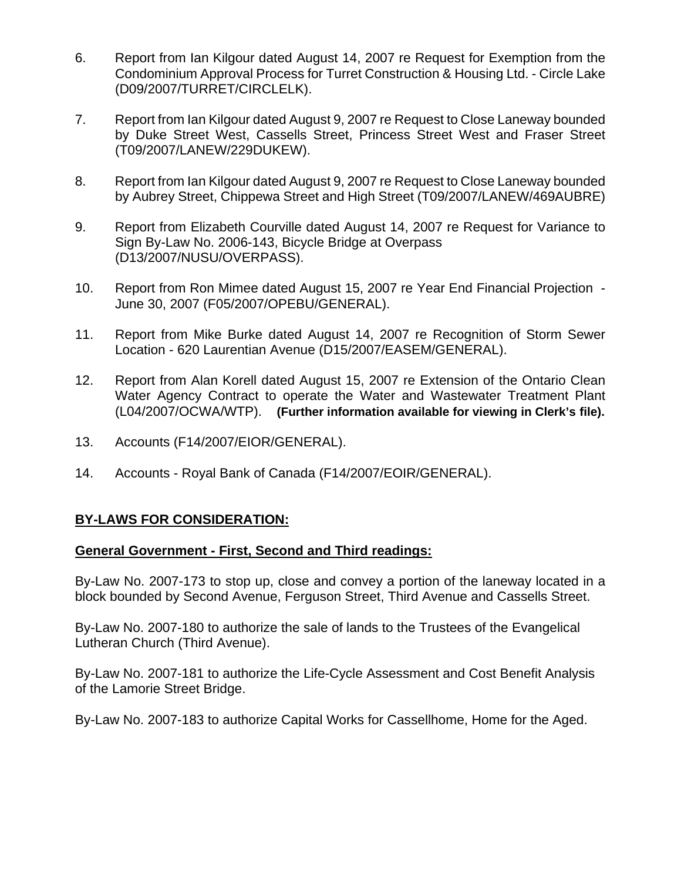- 6. Report from Ian Kilgour dated August 14, 2007 re Request for Exemption from the Condominium Approval Process for Turret Construction & Housing Ltd. - Circle Lake (D09/2007/TURRET/CIRCLELK).
- 7. Report from Ian Kilgour dated August 9, 2007 re Request to Close Laneway bounded by Duke Street West, Cassells Street, Princess Street West and Fraser Street (T09/2007/LANEW/229DUKEW).
- 8. Report from Ian Kilgour dated August 9, 2007 re Request to Close Laneway bounded by Aubrey Street, Chippewa Street and High Street (T09/2007/LANEW/469AUBRE)
- 9. Report from Elizabeth Courville dated August 14, 2007 re Request for Variance to Sign By-Law No. 2006-143, Bicycle Bridge at Overpass (D13/2007/NUSU/OVERPASS).
- 10. Report from Ron Mimee dated August 15, 2007 re Year End Financial Projection June 30, 2007 (F05/2007/OPEBU/GENERAL).
- 11. Report from Mike Burke dated August 14, 2007 re Recognition of Storm Sewer Location - 620 Laurentian Avenue (D15/2007/EASEM/GENERAL).
- 12. Report from Alan Korell dated August 15, 2007 re Extension of the Ontario Clean Water Agency Contract to operate the Water and Wastewater Treatment Plant (L04/2007/OCWA/WTP). **(Further information available for viewing in Clerk's file).**
- 13. Accounts (F14/2007/EIOR/GENERAL).
- 14. Accounts Royal Bank of Canada (F14/2007/EOIR/GENERAL).

# **BY-LAWS FOR CONSIDERATION:**

#### **General Government - First, Second and Third readings:**

By-Law No. 2007-173 to stop up, close and convey a portion of the laneway located in a block bounded by Second Avenue, Ferguson Street, Third Avenue and Cassells Street.

By-Law No. 2007-180 to authorize the sale of lands to the Trustees of the Evangelical Lutheran Church (Third Avenue).

By-Law No. 2007-181 to authorize the Life-Cycle Assessment and Cost Benefit Analysis of the Lamorie Street Bridge.

By-Law No. 2007-183 to authorize Capital Works for Cassellhome, Home for the Aged.